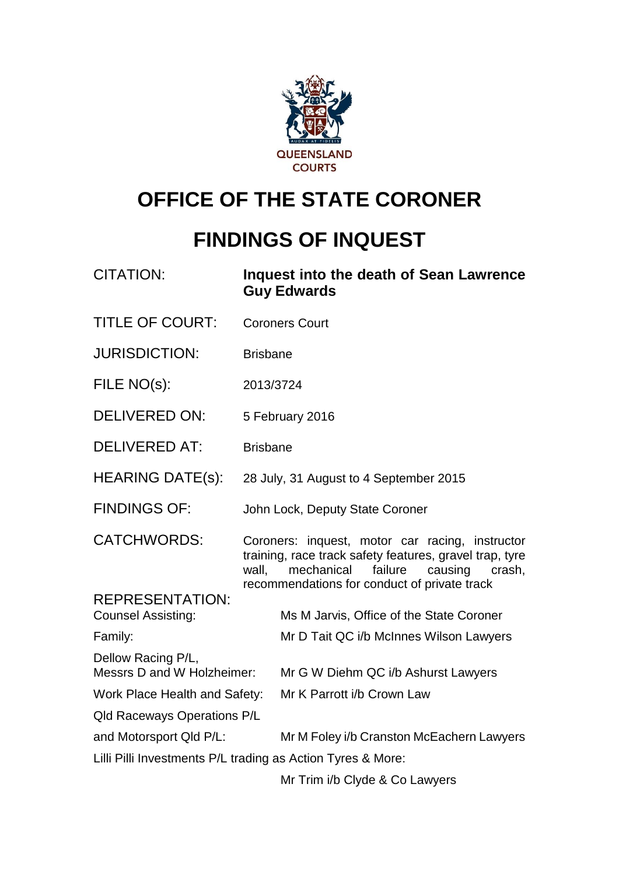

# **OFFICE OF THE STATE CORONER**

# **FINDINGS OF INQUEST**

| <b>CITATION:</b>                                            | Inquest into the death of Sean Lawrence<br><b>Guy Edwards</b>                                                                                                                                                  |  |  |
|-------------------------------------------------------------|----------------------------------------------------------------------------------------------------------------------------------------------------------------------------------------------------------------|--|--|
| <b>TITLE OF COURT:</b>                                      | <b>Coroners Court</b>                                                                                                                                                                                          |  |  |
| <b>JURISDICTION:</b>                                        | <b>Brisbane</b>                                                                                                                                                                                                |  |  |
| FILE NO(s):                                                 | 2013/3724                                                                                                                                                                                                      |  |  |
| <b>DELIVERED ON:</b>                                        | 5 February 2016                                                                                                                                                                                                |  |  |
| <b>DELIVERED AT:</b>                                        | <b>Brisbane</b>                                                                                                                                                                                                |  |  |
| <b>HEARING DATE(s):</b>                                     | 28 July, 31 August to 4 September 2015                                                                                                                                                                         |  |  |
| <b>FINDINGS OF:</b>                                         | John Lock, Deputy State Coroner                                                                                                                                                                                |  |  |
| <b>CATCHWORDS:</b>                                          | Coroners: inquest, motor car racing, instructor<br>training, race track safety features, gravel trap, tyre<br>wall,<br>mechanical failure<br>causing<br>crash,<br>recommendations for conduct of private track |  |  |
| <b>REPRESENTATION:</b><br><b>Counsel Assisting:</b>         | Ms M Jarvis, Office of the State Coroner                                                                                                                                                                       |  |  |
| Family:                                                     | Mr D Tait QC i/b McInnes Wilson Lawyers                                                                                                                                                                        |  |  |
| Dellow Racing P/L,<br>Messrs D and W Holzheimer:            | Mr G W Diehm QC i/b Ashurst Lawyers                                                                                                                                                                            |  |  |
| Work Place Health and Safety:                               | Mr K Parrott i/b Crown Law                                                                                                                                                                                     |  |  |
| <b>Qld Raceways Operations P/L</b>                          |                                                                                                                                                                                                                |  |  |
| and Motorsport Qld P/L:                                     | Mr M Foley i/b Cranston McEachern Lawyers                                                                                                                                                                      |  |  |
| Lilli Pilli Investments P/L trading as Action Tyres & More: |                                                                                                                                                                                                                |  |  |
|                                                             | Mr Trim i/b Clyde & Co Lawyers                                                                                                                                                                                 |  |  |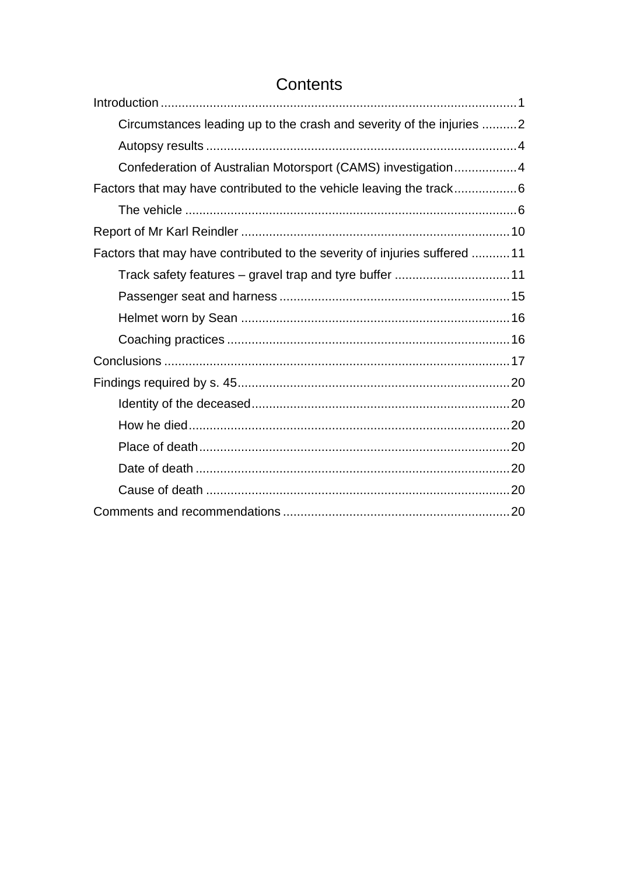# Contents

<span id="page-1-0"></span>

| Circumstances leading up to the crash and severity of the injuries 2      |  |
|---------------------------------------------------------------------------|--|
|                                                                           |  |
| Confederation of Australian Motorsport (CAMS) investigation4              |  |
|                                                                           |  |
|                                                                           |  |
|                                                                           |  |
| Factors that may have contributed to the severity of injuries suffered 11 |  |
|                                                                           |  |
|                                                                           |  |
|                                                                           |  |
|                                                                           |  |
|                                                                           |  |
|                                                                           |  |
|                                                                           |  |
|                                                                           |  |
|                                                                           |  |
|                                                                           |  |
|                                                                           |  |
|                                                                           |  |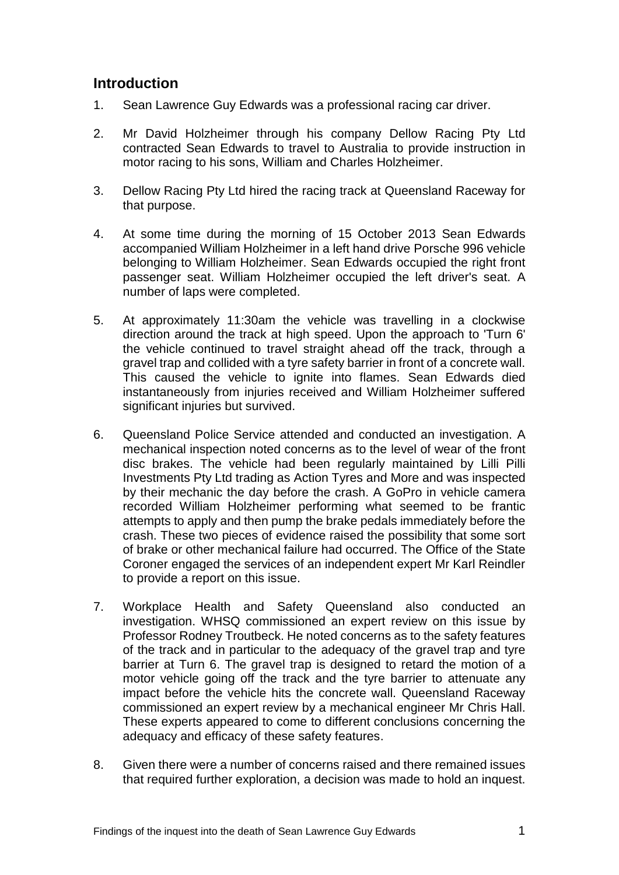# **Introduction**

- 1. Sean Lawrence Guy Edwards was a professional racing car driver.
- 2. Mr David Holzheimer through his company Dellow Racing Pty Ltd contracted Sean Edwards to travel to Australia to provide instruction in motor racing to his sons, William and Charles Holzheimer.
- 3. Dellow Racing Pty Ltd hired the racing track at Queensland Raceway for that purpose.
- 4. At some time during the morning of 15 October 2013 Sean Edwards accompanied William Holzheimer in a left hand drive Porsche 996 vehicle belonging to William Holzheimer. Sean Edwards occupied the right front passenger seat. William Holzheimer occupied the left driver's seat. A number of laps were completed.
- 5. At approximately 11:30am the vehicle was travelling in a clockwise direction around the track at high speed. Upon the approach to 'Turn 6' the vehicle continued to travel straight ahead off the track, through a gravel trap and collided with a tyre safety barrier in front of a concrete wall. This caused the vehicle to ignite into flames. Sean Edwards died instantaneously from injuries received and William Holzheimer suffered significant injuries but survived.
- 6. Queensland Police Service attended and conducted an investigation. A mechanical inspection noted concerns as to the level of wear of the front disc brakes. The vehicle had been regularly maintained by Lilli Pilli Investments Pty Ltd trading as Action Tyres and More and was inspected by their mechanic the day before the crash. A GoPro in vehicle camera recorded William Holzheimer performing what seemed to be frantic attempts to apply and then pump the brake pedals immediately before the crash. These two pieces of evidence raised the possibility that some sort of brake or other mechanical failure had occurred. The Office of the State Coroner engaged the services of an independent expert Mr Karl Reindler to provide a report on this issue.
- 7. Workplace Health and Safety Queensland also conducted an investigation. WHSQ commissioned an expert review on this issue by Professor Rodney Troutbeck. He noted concerns as to the safety features of the track and in particular to the adequacy of the gravel trap and tyre barrier at Turn 6. The gravel trap is designed to retard the motion of a motor vehicle going off the track and the tyre barrier to attenuate any impact before the vehicle hits the concrete wall. Queensland Raceway commissioned an expert review by a mechanical engineer Mr Chris Hall. These experts appeared to come to different conclusions concerning the adequacy and efficacy of these safety features.
- 8. Given there were a number of concerns raised and there remained issues that required further exploration, a decision was made to hold an inquest.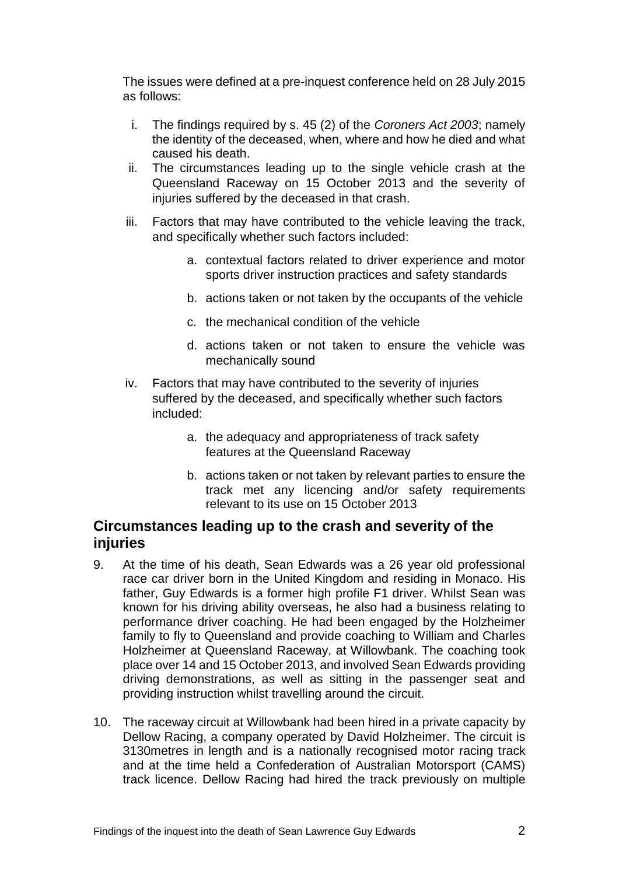The issues were defined at a pre-inquest conference held on 28 July 2015 as follows:

- i. The findings required by s. 45 (2) of the *Coroners Act 2003*; namely the identity of the deceased, when, where and how he died and what caused his death.
- ii. The circumstances leading up to the single vehicle crash at the Queensland Raceway on 15 October 2013 and the severity of injuries suffered by the deceased in that crash.
- iii. Factors that may have contributed to the vehicle leaving the track, and specifically whether such factors included:
	- a. contextual factors related to driver experience and motor sports driver instruction practices and safety standards
	- b. actions taken or not taken by the occupants of the vehicle
	- c. the mechanical condition of the vehicle
	- d. actions taken or not taken to ensure the vehicle was mechanically sound
- iv. Factors that may have contributed to the severity of injuries suffered by the deceased, and specifically whether such factors included:
	- a. the adequacy and appropriateness of track safety features at the Queensland Raceway
	- b. actions taken or not taken by relevant parties to ensure the track met any licencing and/or safety requirements relevant to its use on 15 October 2013

## <span id="page-3-0"></span>**Circumstances leading up to the crash and severity of the injuries**

- 9. At the time of his death, Sean Edwards was a 26 year old professional race car driver born in the United Kingdom and residing in Monaco. His father, Guy Edwards is a former high profile F1 driver. Whilst Sean was known for his driving ability overseas, he also had a business relating to performance driver coaching. He had been engaged by the Holzheimer family to fly to Queensland and provide coaching to William and Charles Holzheimer at Queensland Raceway, at Willowbank. The coaching took place over 14 and 15 October 2013, and involved Sean Edwards providing driving demonstrations, as well as sitting in the passenger seat and providing instruction whilst travelling around the circuit.
- 10. The raceway circuit at Willowbank had been hired in a private capacity by Dellow Racing, a company operated by David Holzheimer. The circuit is 3130metres in length and is a nationally recognised motor racing track and at the time held a Confederation of Australian Motorsport (CAMS) track licence. Dellow Racing had hired the track previously on multiple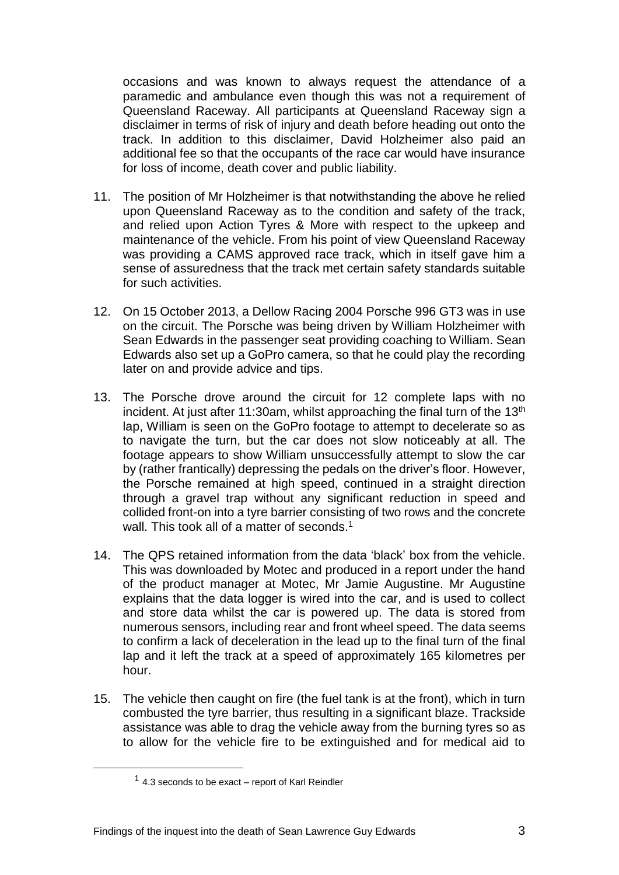occasions and was known to always request the attendance of a paramedic and ambulance even though this was not a requirement of Queensland Raceway. All participants at Queensland Raceway sign a disclaimer in terms of risk of injury and death before heading out onto the track. In addition to this disclaimer, David Holzheimer also paid an additional fee so that the occupants of the race car would have insurance for loss of income, death cover and public liability.

- 11. The position of Mr Holzheimer is that notwithstanding the above he relied upon Queensland Raceway as to the condition and safety of the track, and relied upon Action Tyres & More with respect to the upkeep and maintenance of the vehicle. From his point of view Queensland Raceway was providing a CAMS approved race track, which in itself gave him a sense of assuredness that the track met certain safety standards suitable for such activities.
- 12. On 15 October 2013, a Dellow Racing 2004 Porsche 996 GT3 was in use on the circuit. The Porsche was being driven by William Holzheimer with Sean Edwards in the passenger seat providing coaching to William. Sean Edwards also set up a GoPro camera, so that he could play the recording later on and provide advice and tips.
- 13. The Porsche drove around the circuit for 12 complete laps with no incident. At just after 11:30am, whilst approaching the final turn of the  $13<sup>th</sup>$ lap, William is seen on the GoPro footage to attempt to decelerate so as to navigate the turn, but the car does not slow noticeably at all. The footage appears to show William unsuccessfully attempt to slow the car by (rather frantically) depressing the pedals on the driver's floor. However, the Porsche remained at high speed, continued in a straight direction through a gravel trap without any significant reduction in speed and collided front-on into a tyre barrier consisting of two rows and the concrete wall. This took all of a matter of seconds. 1
- 14. The QPS retained information from the data 'black' box from the vehicle. This was downloaded by Motec and produced in a report under the hand of the product manager at Motec, Mr Jamie Augustine. Mr Augustine explains that the data logger is wired into the car, and is used to collect and store data whilst the car is powered up. The data is stored from numerous sensors, including rear and front wheel speed. The data seems to confirm a lack of deceleration in the lead up to the final turn of the final lap and it left the track at a speed of approximately 165 kilometres per hour.
- 15. The vehicle then caught on fire (the fuel tank is at the front), which in turn combusted the tyre barrier, thus resulting in a significant blaze. Trackside assistance was able to drag the vehicle away from the burning tyres so as to allow for the vehicle fire to be extinguished and for medical aid to

l

<sup>&</sup>lt;sup>1</sup> 4.3 seconds to be exact – report of Karl Reindler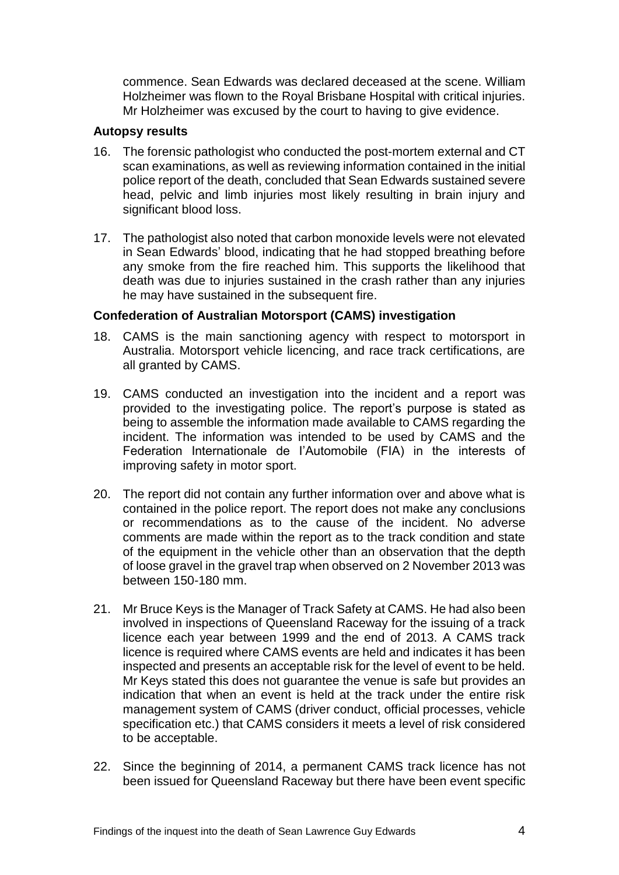commence. Sean Edwards was declared deceased at the scene. William Holzheimer was flown to the Royal Brisbane Hospital with critical injuries. Mr Holzheimer was excused by the court to having to give evidence.

#### <span id="page-5-0"></span>**Autopsy results**

- 16. The forensic pathologist who conducted the post-mortem external and CT scan examinations, as well as reviewing information contained in the initial police report of the death, concluded that Sean Edwards sustained severe head, pelvic and limb injuries most likely resulting in brain injury and significant blood loss.
- 17. The pathologist also noted that carbon monoxide levels were not elevated in Sean Edwards' blood, indicating that he had stopped breathing before any smoke from the fire reached him. This supports the likelihood that death was due to injuries sustained in the crash rather than any injuries he may have sustained in the subsequent fire.

#### <span id="page-5-1"></span>**Confederation of Australian Motorsport (CAMS) investigation**

- 18. CAMS is the main sanctioning agency with respect to motorsport in Australia. Motorsport vehicle licencing, and race track certifications, are all granted by CAMS.
- 19. CAMS conducted an investigation into the incident and a report was provided to the investigating police. The report's purpose is stated as being to assemble the information made available to CAMS regarding the incident. The information was intended to be used by CAMS and the Federation Internationale de I'Automobile (FIA) in the interests of improving safety in motor sport.
- 20. The report did not contain any further information over and above what is contained in the police report. The report does not make any conclusions or recommendations as to the cause of the incident. No adverse comments are made within the report as to the track condition and state of the equipment in the vehicle other than an observation that the depth of loose gravel in the gravel trap when observed on 2 November 2013 was between 150-180 mm.
- 21. Mr Bruce Keys is the Manager of Track Safety at CAMS. He had also been involved in inspections of Queensland Raceway for the issuing of a track licence each year between 1999 and the end of 2013. A CAMS track licence is required where CAMS events are held and indicates it has been inspected and presents an acceptable risk for the level of event to be held. Mr Keys stated this does not guarantee the venue is safe but provides an indication that when an event is held at the track under the entire risk management system of CAMS (driver conduct, official processes, vehicle specification etc.) that CAMS considers it meets a level of risk considered to be acceptable.
- 22. Since the beginning of 2014, a permanent CAMS track licence has not been issued for Queensland Raceway but there have been event specific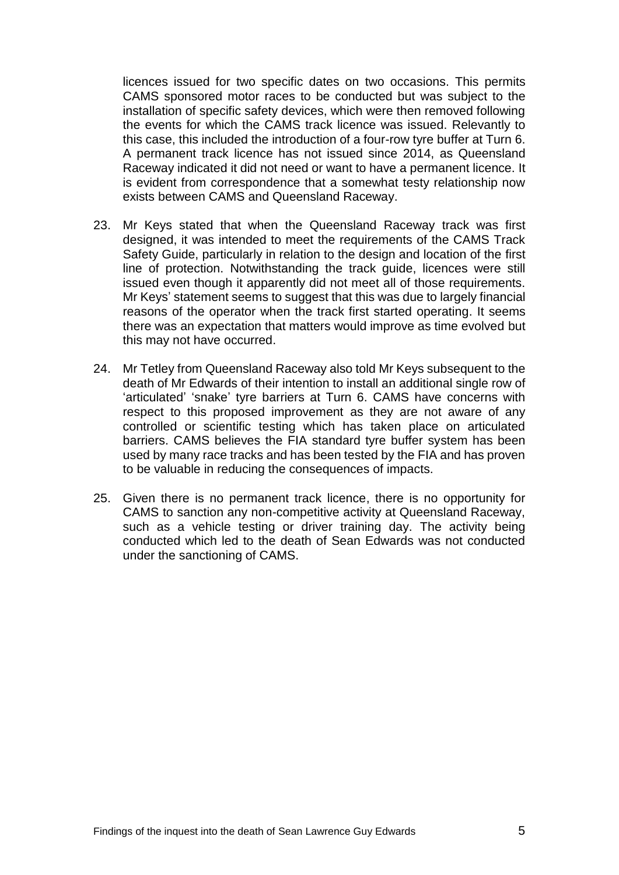licences issued for two specific dates on two occasions. This permits CAMS sponsored motor races to be conducted but was subject to the installation of specific safety devices, which were then removed following the events for which the CAMS track licence was issued. Relevantly to this case, this included the introduction of a four-row tyre buffer at Turn 6. A permanent track licence has not issued since 2014, as Queensland Raceway indicated it did not need or want to have a permanent licence. It is evident from correspondence that a somewhat testy relationship now exists between CAMS and Queensland Raceway.

- 23. Mr Keys stated that when the Queensland Raceway track was first designed, it was intended to meet the requirements of the CAMS Track Safety Guide, particularly in relation to the design and location of the first line of protection. Notwithstanding the track guide, licences were still issued even though it apparently did not meet all of those requirements. Mr Keys' statement seems to suggest that this was due to largely financial reasons of the operator when the track first started operating. It seems there was an expectation that matters would improve as time evolved but this may not have occurred.
- 24. Mr Tetley from Queensland Raceway also told Mr Keys subsequent to the death of Mr Edwards of their intention to install an additional single row of 'articulated' 'snake' tyre barriers at Turn 6. CAMS have concerns with respect to this proposed improvement as they are not aware of any controlled or scientific testing which has taken place on articulated barriers. CAMS believes the FIA standard tyre buffer system has been used by many race tracks and has been tested by the FIA and has proven to be valuable in reducing the consequences of impacts.
- 25. Given there is no permanent track licence, there is no opportunity for CAMS to sanction any non-competitive activity at Queensland Raceway, such as a vehicle testing or driver training day. The activity being conducted which led to the death of Sean Edwards was not conducted under the sanctioning of CAMS.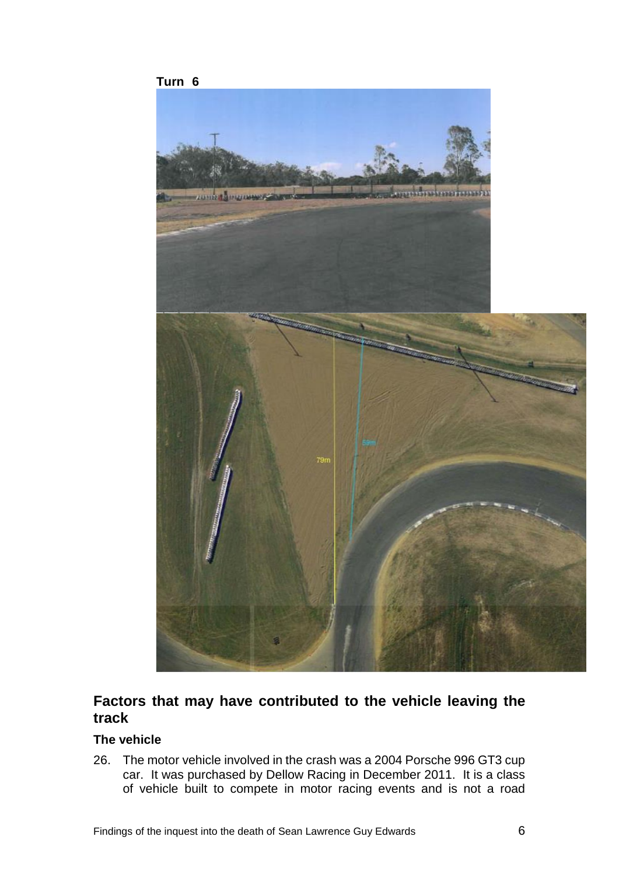

# <span id="page-7-0"></span>**Factors that may have contributed to the vehicle leaving the track**

#### <span id="page-7-1"></span>**The vehicle**

26. The motor vehicle involved in the crash was a 2004 Porsche 996 GT3 cup car. It was purchased by Dellow Racing in December 2011. It is a class of vehicle built to compete in motor racing events and is not a road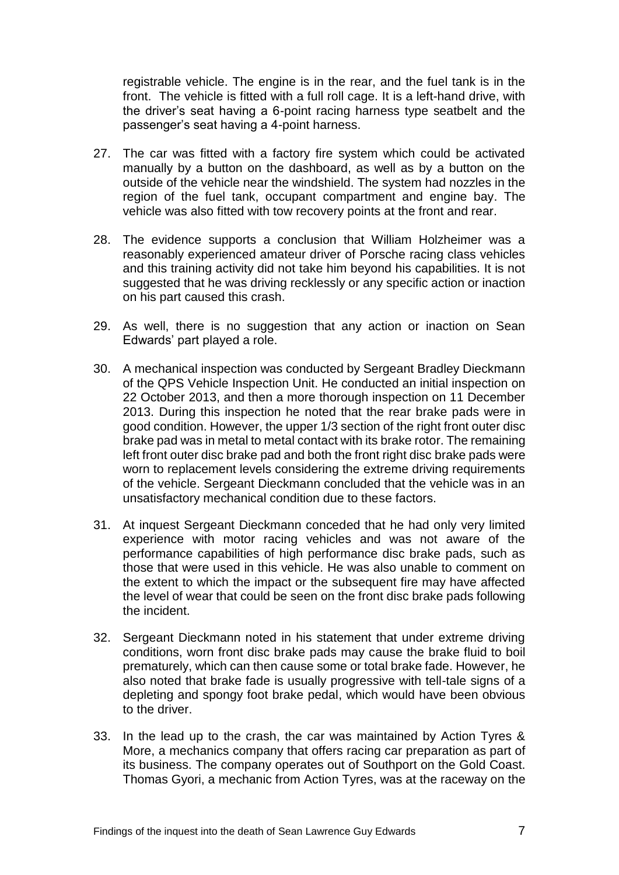registrable vehicle. The engine is in the rear, and the fuel tank is in the front. The vehicle is fitted with a full roll cage. It is a left-hand drive, with the driver's seat having a 6-point racing harness type seatbelt and the passenger's seat having a 4-point harness.

- 27. The car was fitted with a factory fire system which could be activated manually by a button on the dashboard, as well as by a button on the outside of the vehicle near the windshield. The system had nozzles in the region of the fuel tank, occupant compartment and engine bay. The vehicle was also fitted with tow recovery points at the front and rear.
- 28. The evidence supports a conclusion that William Holzheimer was a reasonably experienced amateur driver of Porsche racing class vehicles and this training activity did not take him beyond his capabilities. It is not suggested that he was driving recklessly or any specific action or inaction on his part caused this crash.
- 29. As well, there is no suggestion that any action or inaction on Sean Edwards' part played a role.
- 30. A mechanical inspection was conducted by Sergeant Bradley Dieckmann of the QPS Vehicle Inspection Unit. He conducted an initial inspection on 22 October 2013, and then a more thorough inspection on 11 December 2013. During this inspection he noted that the rear brake pads were in good condition. However, the upper 1/3 section of the right front outer disc brake pad was in metal to metal contact with its brake rotor. The remaining left front outer disc brake pad and both the front right disc brake pads were worn to replacement levels considering the extreme driving requirements of the vehicle. Sergeant Dieckmann concluded that the vehicle was in an unsatisfactory mechanical condition due to these factors.
- 31. At inquest Sergeant Dieckmann conceded that he had only very limited experience with motor racing vehicles and was not aware of the performance capabilities of high performance disc brake pads, such as those that were used in this vehicle. He was also unable to comment on the extent to which the impact or the subsequent fire may have affected the level of wear that could be seen on the front disc brake pads following the incident.
- 32. Sergeant Dieckmann noted in his statement that under extreme driving conditions, worn front disc brake pads may cause the brake fluid to boil prematurely, which can then cause some or total brake fade. However, he also noted that brake fade is usually progressive with tell-tale signs of a depleting and spongy foot brake pedal, which would have been obvious to the driver.
- 33. In the lead up to the crash, the car was maintained by Action Tyres & More, a mechanics company that offers racing car preparation as part of its business. The company operates out of Southport on the Gold Coast. Thomas Gyori, a mechanic from Action Tyres, was at the raceway on the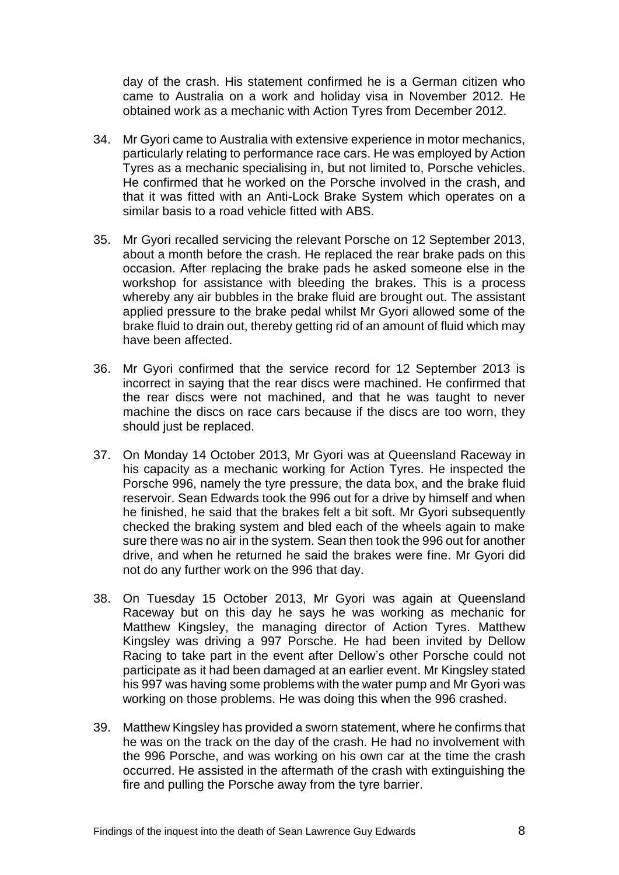day of the crash. His statement confirmed he is a German citizen who came to Australia on a work and holiday visa in November 2012. He obtained work as a mechanic with Action Tyres from December 2012.

- 34. Mr Gyori came to Australia with extensive experience in motor mechanics, particularly relating to performance race cars. He was employed by Action Tyres as a mechanic specialising in, but not limited to, Porsche vehicles. He confirmed that he worked on the Porsche involved in the crash, and that it was fitted with an Anti-Lock Brake System which operates on a similar basis to a road vehicle fitted with ABS.
- 35. Mr Gyori recalled servicing the relevant Porsche on 12 September 2013, about a month before the crash. He replaced the rear brake pads on this occasion. After replacing the brake pads he asked someone else in the workshop for assistance with bleeding the brakes. This is a process whereby any air bubbles in the brake fluid are brought out. The assistant applied pressure to the brake pedal whilst Mr Gyori allowed some of the brake fluid to drain out, thereby getting rid of an amount of fluid which may have been affected.
- 36. Mr Gyori confirmed that the service record for 12 September 2013 is incorrect in saying that the rear discs were machined. He confirmed that the rear discs were not machined, and that he was taught to never machine the discs on race cars because if the discs are too worn, they should just be replaced.
- 37. On Monday 14 October 2013, Mr Gyori was at Queensland Raceway in his capacity as a mechanic working for Action Tyres. He inspected the Porsche 996, namely the tyre pressure, the data box, and the brake fluid reservoir. Sean Edwards took the 996 out for a drive by himself and when he finished, he said that the brakes felt a bit soft. Mr Gyori subsequently checked the braking system and bled each of the wheels again to make sure there was no air in the system. Sean then took the 996 out for another drive, and when he returned he said the brakes were fine. Mr Gyori did not do any further work on the 996 that day.
- 38. On Tuesday 15 October 2013, Mr Gyori was again at Queensland Raceway but on this day he says he was working as mechanic for Matthew Kingsley, the managing director of Action Tyres. Matthew Kingsley was driving a 997 Porsche. He had been invited by Dellow Racing to take part in the event after Dellow's other Porsche could not participate as it had been damaged at an earlier event. Mr Kingsley stated his 997 was having some problems with the water pump and Mr Gyori was working on those problems. He was doing this when the 996 crashed.
- 39. Matthew Kingsley has provided a sworn statement, where he confirms that he was on the track on the day of the crash. He had no involvement with the 996 Porsche, and was working on his own car at the time the crash occurred. He assisted in the aftermath of the crash with extinguishing the fire and pulling the Porsche away from the tyre barrier.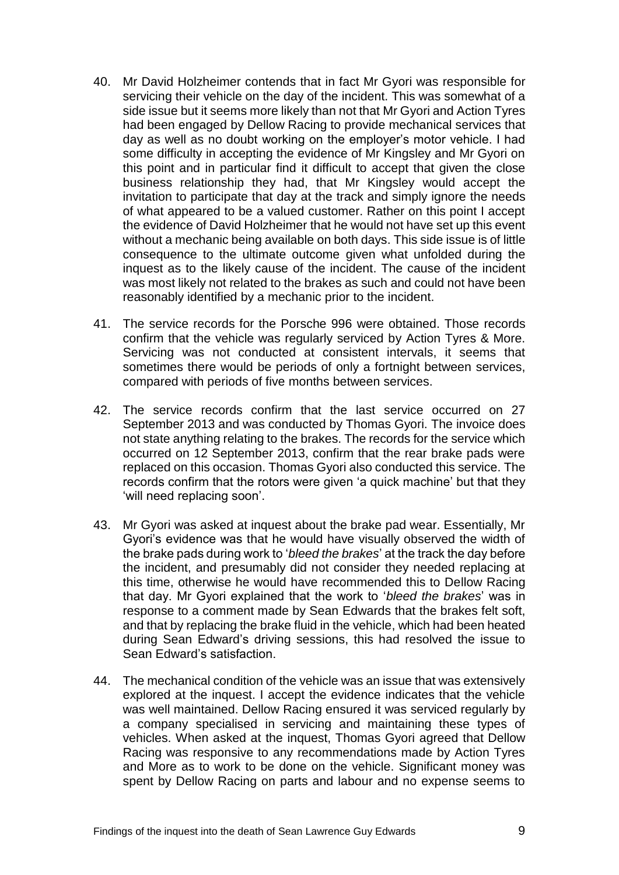- 40. Mr David Holzheimer contends that in fact Mr Gyori was responsible for servicing their vehicle on the day of the incident. This was somewhat of a side issue but it seems more likely than not that Mr Gyori and Action Tyres had been engaged by Dellow Racing to provide mechanical services that day as well as no doubt working on the employer's motor vehicle. I had some difficulty in accepting the evidence of Mr Kingsley and Mr Gyori on this point and in particular find it difficult to accept that given the close business relationship they had, that Mr Kingsley would accept the invitation to participate that day at the track and simply ignore the needs of what appeared to be a valued customer. Rather on this point I accept the evidence of David Holzheimer that he would not have set up this event without a mechanic being available on both days. This side issue is of little consequence to the ultimate outcome given what unfolded during the inquest as to the likely cause of the incident. The cause of the incident was most likely not related to the brakes as such and could not have been reasonably identified by a mechanic prior to the incident.
- 41. The service records for the Porsche 996 were obtained. Those records confirm that the vehicle was regularly serviced by Action Tyres & More. Servicing was not conducted at consistent intervals, it seems that sometimes there would be periods of only a fortnight between services, compared with periods of five months between services.
- 42. The service records confirm that the last service occurred on 27 September 2013 and was conducted by Thomas Gyori. The invoice does not state anything relating to the brakes. The records for the service which occurred on 12 September 2013, confirm that the rear brake pads were replaced on this occasion. Thomas Gyori also conducted this service. The records confirm that the rotors were given 'a quick machine' but that they 'will need replacing soon'.
- 43. Mr Gyori was asked at inquest about the brake pad wear. Essentially, Mr Gyori's evidence was that he would have visually observed the width of the brake pads during work to '*bleed the brakes*' at the track the day before the incident, and presumably did not consider they needed replacing at this time, otherwise he would have recommended this to Dellow Racing that day. Mr Gyori explained that the work to '*bleed the brakes*' was in response to a comment made by Sean Edwards that the brakes felt soft, and that by replacing the brake fluid in the vehicle, which had been heated during Sean Edward's driving sessions, this had resolved the issue to Sean Edward's satisfaction.
- 44. The mechanical condition of the vehicle was an issue that was extensively explored at the inquest. I accept the evidence indicates that the vehicle was well maintained. Dellow Racing ensured it was serviced regularly by a company specialised in servicing and maintaining these types of vehicles. When asked at the inquest, Thomas Gyori agreed that Dellow Racing was responsive to any recommendations made by Action Tyres and More as to work to be done on the vehicle. Significant money was spent by Dellow Racing on parts and labour and no expense seems to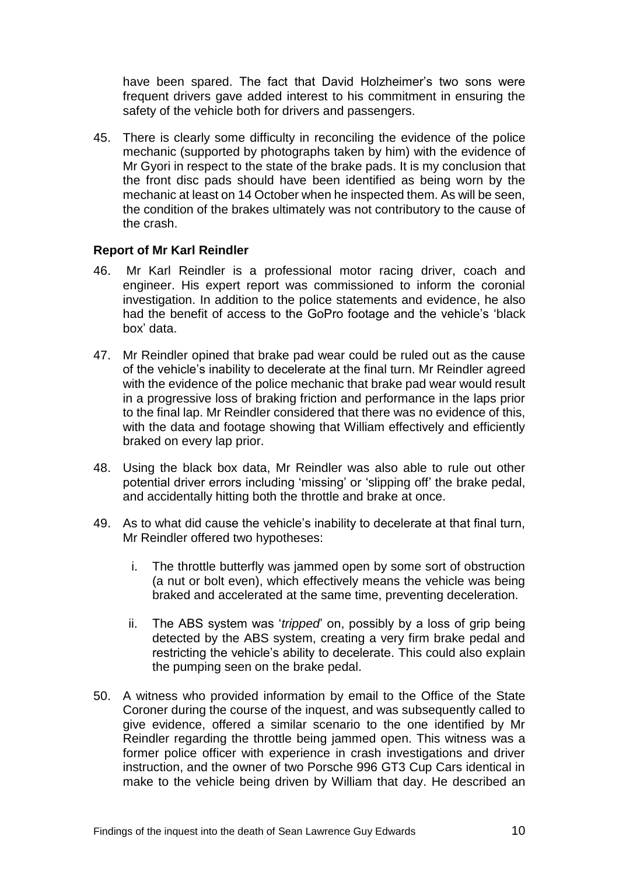have been spared. The fact that David Holzheimer's two sons were frequent drivers gave added interest to his commitment in ensuring the safety of the vehicle both for drivers and passengers.

45. There is clearly some difficulty in reconciling the evidence of the police mechanic (supported by photographs taken by him) with the evidence of Mr Gyori in respect to the state of the brake pads. It is my conclusion that the front disc pads should have been identified as being worn by the mechanic at least on 14 October when he inspected them. As will be seen, the condition of the brakes ultimately was not contributory to the cause of the crash.

#### <span id="page-11-0"></span>**Report of Mr Karl Reindler**

- 46. Mr Karl Reindler is a professional motor racing driver, coach and engineer. His expert report was commissioned to inform the coronial investigation. In addition to the police statements and evidence, he also had the benefit of access to the GoPro footage and the vehicle's 'black box' data.
- 47. Mr Reindler opined that brake pad wear could be ruled out as the cause of the vehicle's inability to decelerate at the final turn. Mr Reindler agreed with the evidence of the police mechanic that brake pad wear would result in a progressive loss of braking friction and performance in the laps prior to the final lap. Mr Reindler considered that there was no evidence of this, with the data and footage showing that William effectively and efficiently braked on every lap prior.
- 48. Using the black box data, Mr Reindler was also able to rule out other potential driver errors including 'missing' or 'slipping off' the brake pedal, and accidentally hitting both the throttle and brake at once.
- 49. As to what did cause the vehicle's inability to decelerate at that final turn, Mr Reindler offered two hypotheses:
	- i. The throttle butterfly was jammed open by some sort of obstruction (a nut or bolt even), which effectively means the vehicle was being braked and accelerated at the same time, preventing deceleration.
	- ii. The ABS system was '*tripped*' on, possibly by a loss of grip being detected by the ABS system, creating a very firm brake pedal and restricting the vehicle's ability to decelerate. This could also explain the pumping seen on the brake pedal.
- 50. A witness who provided information by email to the Office of the State Coroner during the course of the inquest, and was subsequently called to give evidence, offered a similar scenario to the one identified by Mr Reindler regarding the throttle being jammed open. This witness was a former police officer with experience in crash investigations and driver instruction, and the owner of two Porsche 996 GT3 Cup Cars identical in make to the vehicle being driven by William that day. He described an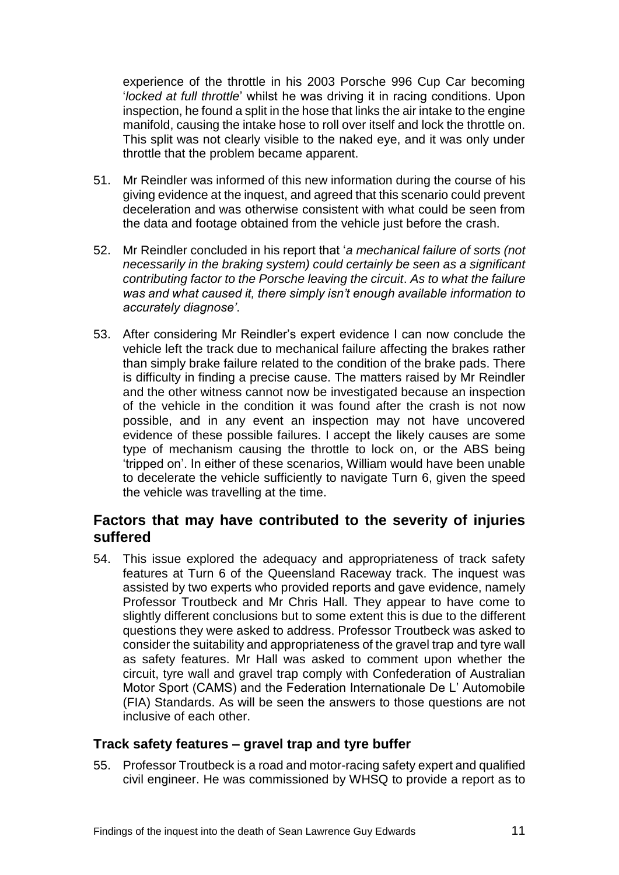experience of the throttle in his 2003 Porsche 996 Cup Car becoming '*locked at full throttle*' whilst he was driving it in racing conditions. Upon inspection, he found a split in the hose that links the air intake to the engine manifold, causing the intake hose to roll over itself and lock the throttle on. This split was not clearly visible to the naked eye, and it was only under throttle that the problem became apparent.

- 51. Mr Reindler was informed of this new information during the course of his giving evidence at the inquest, and agreed that this scenario could prevent deceleration and was otherwise consistent with what could be seen from the data and footage obtained from the vehicle just before the crash.
- 52. Mr Reindler concluded in his report that '*a mechanical failure of sorts (not necessarily in the braking system) could certainly be seen as a significant contributing factor to the Porsche leaving the circuit*. *As to what the failure was and what caused it, there simply isn't enough available information to accurately diagnose'*.
- 53. After considering Mr Reindler's expert evidence I can now conclude the vehicle left the track due to mechanical failure affecting the brakes rather than simply brake failure related to the condition of the brake pads. There is difficulty in finding a precise cause. The matters raised by Mr Reindler and the other witness cannot now be investigated because an inspection of the vehicle in the condition it was found after the crash is not now possible, and in any event an inspection may not have uncovered evidence of these possible failures. I accept the likely causes are some type of mechanism causing the throttle to lock on, or the ABS being 'tripped on'. In either of these scenarios, William would have been unable to decelerate the vehicle sufficiently to navigate Turn 6, given the speed the vehicle was travelling at the time.

## <span id="page-12-0"></span>**Factors that may have contributed to the severity of injuries suffered**

54. This issue explored the adequacy and appropriateness of track safety features at Turn 6 of the Queensland Raceway track. The inquest was assisted by two experts who provided reports and gave evidence, namely Professor Troutbeck and Mr Chris Hall. They appear to have come to slightly different conclusions but to some extent this is due to the different questions they were asked to address. Professor Troutbeck was asked to consider the suitability and appropriateness of the gravel trap and tyre wall as safety features. Mr Hall was asked to comment upon whether the circuit, tyre wall and gravel trap comply with Confederation of Australian Motor Sport (CAMS) and the Federation Internationale De L' Automobile (FIA) Standards. As will be seen the answers to those questions are not inclusive of each other.

#### <span id="page-12-1"></span>**Track safety features – gravel trap and tyre buffer**

55. Professor Troutbeck is a road and motor-racing safety expert and qualified civil engineer. He was commissioned by WHSQ to provide a report as to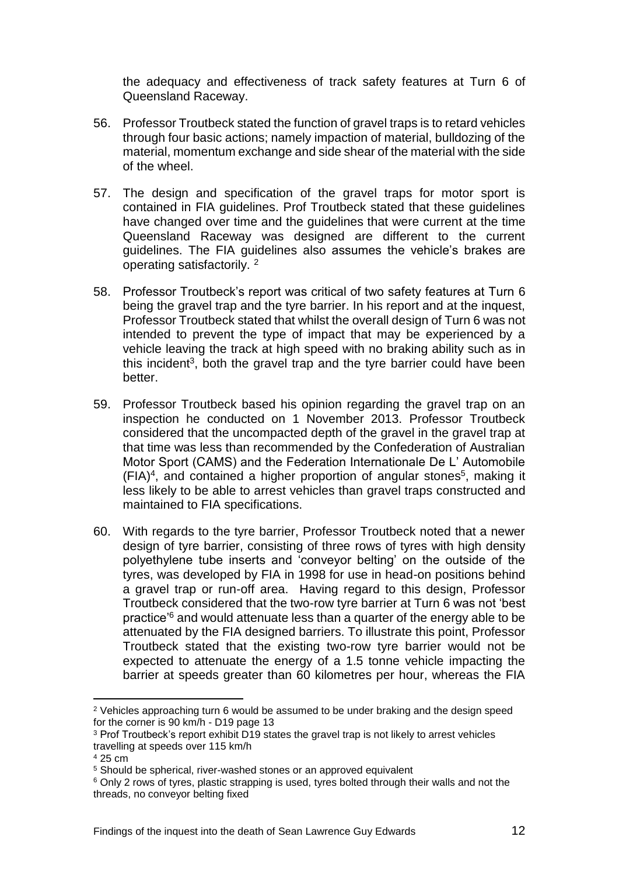the adequacy and effectiveness of track safety features at Turn 6 of Queensland Raceway.

- 56. Professor Troutbeck stated the function of gravel traps is to retard vehicles through four basic actions; namely impaction of material, bulldozing of the material, momentum exchange and side shear of the material with the side of the wheel.
- 57. The design and specification of the gravel traps for motor sport is contained in FIA guidelines. Prof Troutbeck stated that these guidelines have changed over time and the guidelines that were current at the time Queensland Raceway was designed are different to the current guidelines. The FIA guidelines also assumes the vehicle's brakes are operating satisfactorily. <sup>2</sup>
- 58. Professor Troutbeck's report was critical of two safety features at Turn 6 being the gravel trap and the tyre barrier. In his report and at the inquest, Professor Troutbeck stated that whilst the overall design of Turn 6 was not intended to prevent the type of impact that may be experienced by a vehicle leaving the track at high speed with no braking ability such as in this incident<sup>3</sup>, both the gravel trap and the tyre barrier could have been better.
- 59. Professor Troutbeck based his opinion regarding the gravel trap on an inspection he conducted on 1 November 2013. Professor Troutbeck considered that the uncompacted depth of the gravel in the gravel trap at that time was less than recommended by the Confederation of Australian Motor Sport (CAMS) and the Federation Internationale De L' Automobile (FIA)<sup>4</sup> , and contained a higher proportion of angular stones<sup>5</sup> , making it less likely to be able to arrest vehicles than gravel traps constructed and maintained to FIA specifications.
- 60. With regards to the tyre barrier, Professor Troutbeck noted that a newer design of tyre barrier, consisting of three rows of tyres with high density polyethylene tube inserts and 'conveyor belting' on the outside of the tyres, was developed by FIA in 1998 for use in head-on positions behind a gravel trap or run-off area. Having regard to this design, Professor Troutbeck considered that the two-row tyre barrier at Turn 6 was not 'best practice'<sup>6</sup> and would attenuate less than a quarter of the energy able to be attenuated by the FIA designed barriers. To illustrate this point, Professor Troutbeck stated that the existing two-row tyre barrier would not be expected to attenuate the energy of a 1.5 tonne vehicle impacting the barrier at speeds greater than 60 kilometres per hour, whereas the FIA

l

<sup>&</sup>lt;sup>2</sup> Vehicles approaching turn 6 would be assumed to be under braking and the design speed for the corner is 90 km/h - D19 page 13

<sup>3</sup> Prof Troutbeck's report exhibit D19 states the gravel trap is not likely to arrest vehicles travelling at speeds over 115 km/h

<sup>4</sup> 25 cm

<sup>&</sup>lt;sup>5</sup> Should be spherical, river-washed stones or an approved equivalent

<sup>6</sup> Only 2 rows of tyres, plastic strapping is used, tyres bolted through their walls and not the threads, no conveyor belting fixed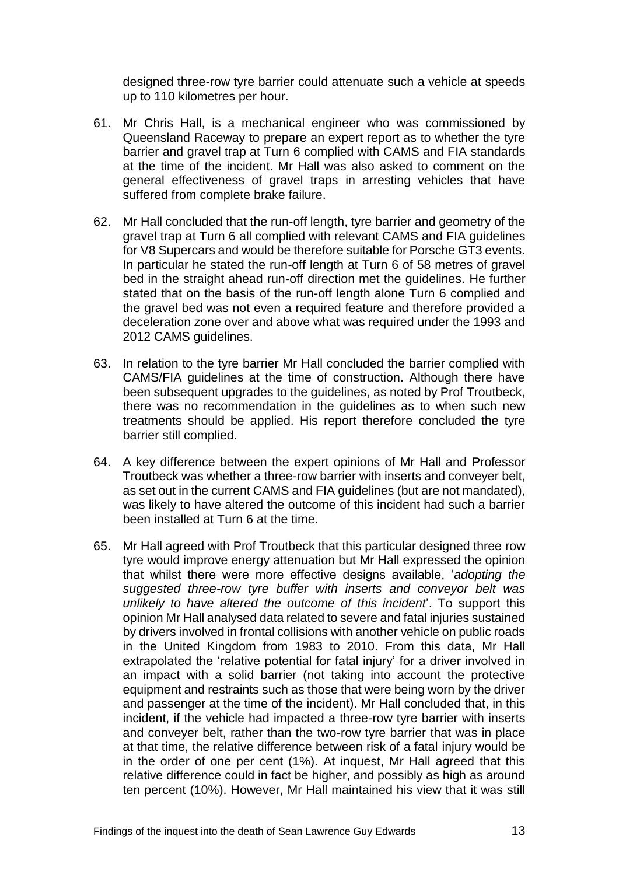designed three-row tyre barrier could attenuate such a vehicle at speeds up to 110 kilometres per hour.

- 61. Mr Chris Hall, is a mechanical engineer who was commissioned by Queensland Raceway to prepare an expert report as to whether the tyre barrier and gravel trap at Turn 6 complied with CAMS and FIA standards at the time of the incident. Mr Hall was also asked to comment on the general effectiveness of gravel traps in arresting vehicles that have suffered from complete brake failure.
- 62. Mr Hall concluded that the run-off length, tyre barrier and geometry of the gravel trap at Turn 6 all complied with relevant CAMS and FIA guidelines for V8 Supercars and would be therefore suitable for Porsche GT3 events. In particular he stated the run-off length at Turn 6 of 58 metres of gravel bed in the straight ahead run-off direction met the guidelines. He further stated that on the basis of the run-off length alone Turn 6 complied and the gravel bed was not even a required feature and therefore provided a deceleration zone over and above what was required under the 1993 and 2012 CAMS guidelines.
- 63. In relation to the tyre barrier Mr Hall concluded the barrier complied with CAMS/FIA guidelines at the time of construction. Although there have been subsequent upgrades to the guidelines, as noted by Prof Troutbeck, there was no recommendation in the guidelines as to when such new treatments should be applied. His report therefore concluded the tyre barrier still complied.
- 64. A key difference between the expert opinions of Mr Hall and Professor Troutbeck was whether a three-row barrier with inserts and conveyer belt, as set out in the current CAMS and FIA guidelines (but are not mandated), was likely to have altered the outcome of this incident had such a barrier been installed at Turn 6 at the time.
- 65. Mr Hall agreed with Prof Troutbeck that this particular designed three row tyre would improve energy attenuation but Mr Hall expressed the opinion that whilst there were more effective designs available, '*adopting the suggested three-row tyre buffer with inserts and conveyor belt was unlikely to have altered the outcome of this incident*'. To support this opinion Mr Hall analysed data related to severe and fatal injuries sustained by drivers involved in frontal collisions with another vehicle on public roads in the United Kingdom from 1983 to 2010. From this data, Mr Hall extrapolated the 'relative potential for fatal injury' for a driver involved in an impact with a solid barrier (not taking into account the protective equipment and restraints such as those that were being worn by the driver and passenger at the time of the incident). Mr Hall concluded that, in this incident, if the vehicle had impacted a three-row tyre barrier with inserts and conveyer belt, rather than the two-row tyre barrier that was in place at that time, the relative difference between risk of a fatal injury would be in the order of one per cent (1%). At inquest, Mr Hall agreed that this relative difference could in fact be higher, and possibly as high as around ten percent (10%). However, Mr Hall maintained his view that it was still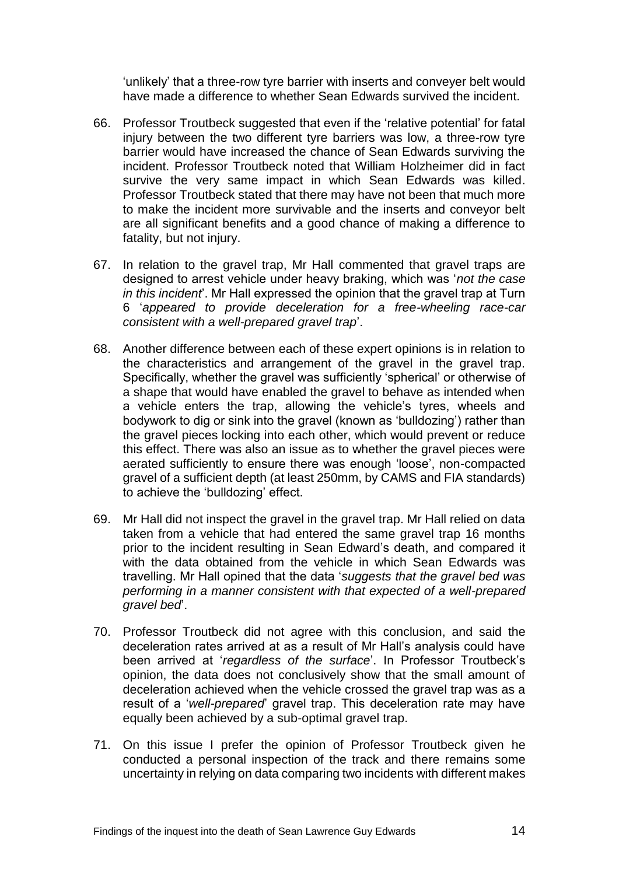'unlikely' that a three-row tyre barrier with inserts and conveyer belt would have made a difference to whether Sean Edwards survived the incident.

- 66. Professor Troutbeck suggested that even if the 'relative potential' for fatal injury between the two different tyre barriers was low, a three-row tyre barrier would have increased the chance of Sean Edwards surviving the incident. Professor Troutbeck noted that William Holzheimer did in fact survive the very same impact in which Sean Edwards was killed. Professor Troutbeck stated that there may have not been that much more to make the incident more survivable and the inserts and conveyor belt are all significant benefits and a good chance of making a difference to fatality, but not injury.
- 67. In relation to the gravel trap, Mr Hall commented that gravel traps are designed to arrest vehicle under heavy braking, which was '*not the case in this incident*'. Mr Hall expressed the opinion that the gravel trap at Turn 6 '*appeared to provide deceleration for a free-wheeling race-car consistent with a well-prepared gravel trap*'.
- 68. Another difference between each of these expert opinions is in relation to the characteristics and arrangement of the gravel in the gravel trap. Specifically, whether the gravel was sufficiently 'spherical' or otherwise of a shape that would have enabled the gravel to behave as intended when a vehicle enters the trap, allowing the vehicle's tyres, wheels and bodywork to dig or sink into the gravel (known as 'bulldozing') rather than the gravel pieces locking into each other, which would prevent or reduce this effect. There was also an issue as to whether the gravel pieces were aerated sufficiently to ensure there was enough 'loose', non-compacted gravel of a sufficient depth (at least 250mm, by CAMS and FIA standards) to achieve the 'bulldozing' effect.
- 69. Mr Hall did not inspect the gravel in the gravel trap. Mr Hall relied on data taken from a vehicle that had entered the same gravel trap 16 months prior to the incident resulting in Sean Edward's death, and compared it with the data obtained from the vehicle in which Sean Edwards was travelling. Mr Hall opined that the data '*suggests that the gravel bed was performing in a manner consistent with that expected of a well-prepared gravel bed*'.
- 70. Professor Troutbeck did not agree with this conclusion, and said the deceleration rates arrived at as a result of Mr Hall's analysis could have been arrived at '*regardless of the surface*'. In Professor Troutbeck's opinion, the data does not conclusively show that the small amount of deceleration achieved when the vehicle crossed the gravel trap was as a result of a '*well-prepared*' gravel trap. This deceleration rate may have equally been achieved by a sub-optimal gravel trap.
- 71. On this issue I prefer the opinion of Professor Troutbeck given he conducted a personal inspection of the track and there remains some uncertainty in relying on data comparing two incidents with different makes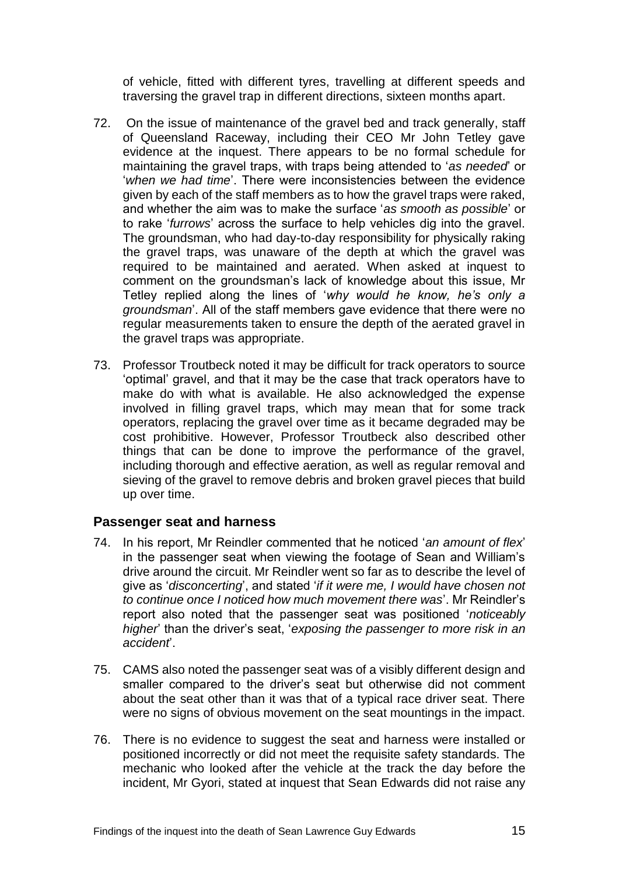of vehicle, fitted with different tyres, travelling at different speeds and traversing the gravel trap in different directions, sixteen months apart.

- 72. On the issue of maintenance of the gravel bed and track generally, staff of Queensland Raceway, including their CEO Mr John Tetley gave evidence at the inquest. There appears to be no formal schedule for maintaining the gravel traps, with traps being attended to '*as needed*' or '*when we had time*'. There were inconsistencies between the evidence given by each of the staff members as to how the gravel traps were raked, and whether the aim was to make the surface '*as smooth as possible*' or to rake '*furrows*' across the surface to help vehicles dig into the gravel. The groundsman, who had day-to-day responsibility for physically raking the gravel traps, was unaware of the depth at which the gravel was required to be maintained and aerated. When asked at inquest to comment on the groundsman's lack of knowledge about this issue, Mr Tetley replied along the lines of '*why would he know, he's only a groundsman*'. All of the staff members gave evidence that there were no regular measurements taken to ensure the depth of the aerated gravel in the gravel traps was appropriate.
- 73. Professor Troutbeck noted it may be difficult for track operators to source 'optimal' gravel, and that it may be the case that track operators have to make do with what is available. He also acknowledged the expense involved in filling gravel traps, which may mean that for some track operators, replacing the gravel over time as it became degraded may be cost prohibitive. However, Professor Troutbeck also described other things that can be done to improve the performance of the gravel, including thorough and effective aeration, as well as regular removal and sieving of the gravel to remove debris and broken gravel pieces that build up over time.

#### <span id="page-16-0"></span>**Passenger seat and harness**

- 74. In his report, Mr Reindler commented that he noticed '*an amount of flex*' in the passenger seat when viewing the footage of Sean and William's drive around the circuit. Mr Reindler went so far as to describe the level of give as '*disconcerting*', and stated '*if it were me, I would have chosen not to continue once I noticed how much movement there was*'. Mr Reindler's report also noted that the passenger seat was positioned '*noticeably higher*' than the driver's seat, '*exposing the passenger to more risk in an accident*'.
- 75. CAMS also noted the passenger seat was of a visibly different design and smaller compared to the driver's seat but otherwise did not comment about the seat other than it was that of a typical race driver seat. There were no signs of obvious movement on the seat mountings in the impact.
- 76. There is no evidence to suggest the seat and harness were installed or positioned incorrectly or did not meet the requisite safety standards. The mechanic who looked after the vehicle at the track the day before the incident, Mr Gyori, stated at inquest that Sean Edwards did not raise any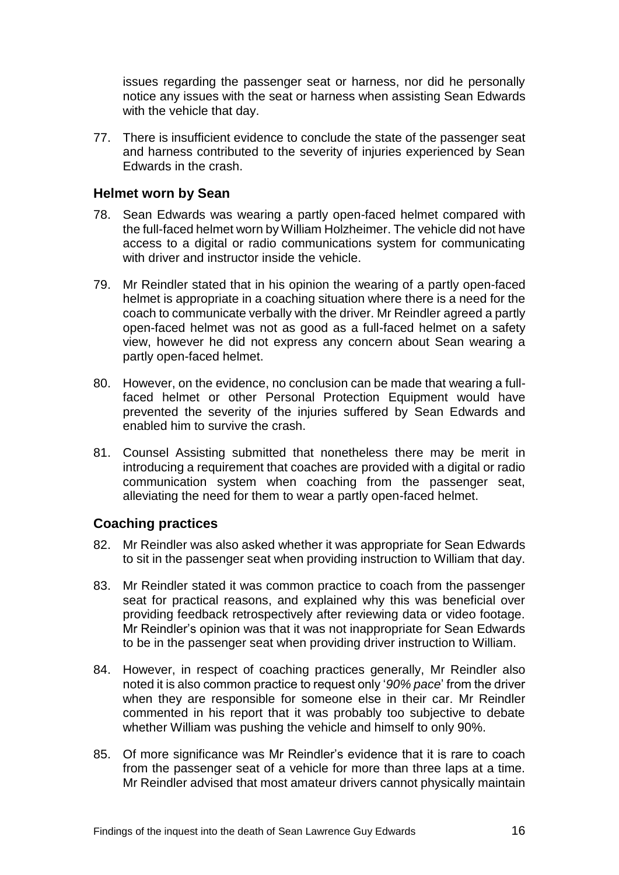issues regarding the passenger seat or harness, nor did he personally notice any issues with the seat or harness when assisting Sean Edwards with the vehicle that day.

77. There is insufficient evidence to conclude the state of the passenger seat and harness contributed to the severity of injuries experienced by Sean Edwards in the crash.

#### <span id="page-17-0"></span>**Helmet worn by Sean**

- 78. Sean Edwards was wearing a partly open-faced helmet compared with the full-faced helmet worn by William Holzheimer. The vehicle did not have access to a digital or radio communications system for communicating with driver and instructor inside the vehicle.
- 79. Mr Reindler stated that in his opinion the wearing of a partly open-faced helmet is appropriate in a coaching situation where there is a need for the coach to communicate verbally with the driver. Mr Reindler agreed a partly open-faced helmet was not as good as a full-faced helmet on a safety view, however he did not express any concern about Sean wearing a partly open-faced helmet.
- 80. However, on the evidence, no conclusion can be made that wearing a fullfaced helmet or other Personal Protection Equipment would have prevented the severity of the injuries suffered by Sean Edwards and enabled him to survive the crash.
- 81. Counsel Assisting submitted that nonetheless there may be merit in introducing a requirement that coaches are provided with a digital or radio communication system when coaching from the passenger seat, alleviating the need for them to wear a partly open-faced helmet.

### <span id="page-17-1"></span>**Coaching practices**

- 82. Mr Reindler was also asked whether it was appropriate for Sean Edwards to sit in the passenger seat when providing instruction to William that day.
- 83. Mr Reindler stated it was common practice to coach from the passenger seat for practical reasons, and explained why this was beneficial over providing feedback retrospectively after reviewing data or video footage. Mr Reindler's opinion was that it was not inappropriate for Sean Edwards to be in the passenger seat when providing driver instruction to William.
- 84. However, in respect of coaching practices generally, Mr Reindler also noted it is also common practice to request only '*90% pace*' from the driver when they are responsible for someone else in their car. Mr Reindler commented in his report that it was probably too subjective to debate whether William was pushing the vehicle and himself to only 90%.
- 85. Of more significance was Mr Reindler's evidence that it is rare to coach from the passenger seat of a vehicle for more than three laps at a time. Mr Reindler advised that most amateur drivers cannot physically maintain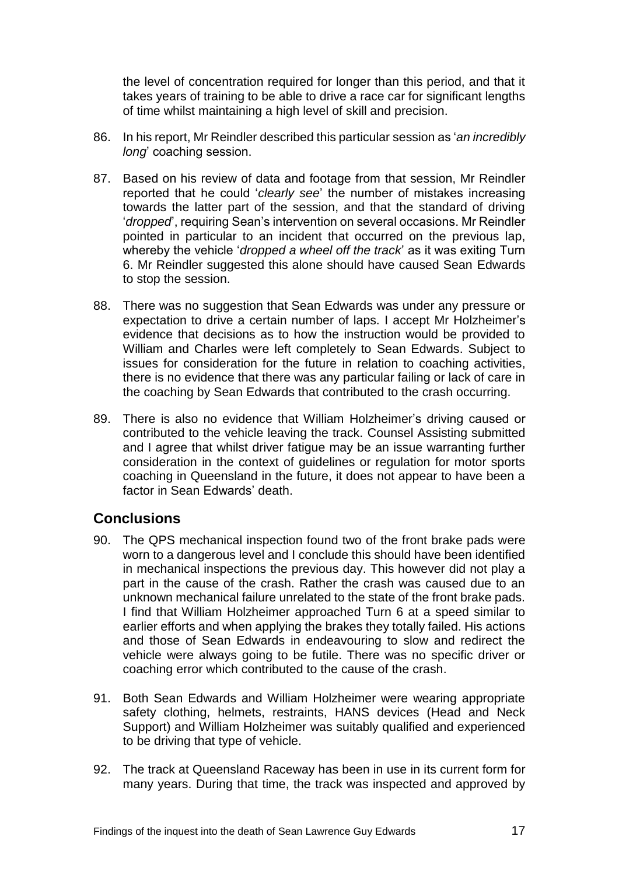the level of concentration required for longer than this period, and that it takes years of training to be able to drive a race car for significant lengths of time whilst maintaining a high level of skill and precision.

- 86. In his report, Mr Reindler described this particular session as '*an incredibly long*' coaching session.
- 87. Based on his review of data and footage from that session, Mr Reindler reported that he could '*clearly see*' the number of mistakes increasing towards the latter part of the session, and that the standard of driving '*dropped*', requiring Sean's intervention on several occasions. Mr Reindler pointed in particular to an incident that occurred on the previous lap, whereby the vehicle '*dropped a wheel off the track*' as it was exiting Turn 6. Mr Reindler suggested this alone should have caused Sean Edwards to stop the session.
- 88. There was no suggestion that Sean Edwards was under any pressure or expectation to drive a certain number of laps. I accept Mr Holzheimer's evidence that decisions as to how the instruction would be provided to William and Charles were left completely to Sean Edwards. Subject to issues for consideration for the future in relation to coaching activities, there is no evidence that there was any particular failing or lack of care in the coaching by Sean Edwards that contributed to the crash occurring.
- 89. There is also no evidence that William Holzheimer's driving caused or contributed to the vehicle leaving the track. Counsel Assisting submitted and I agree that whilst driver fatigue may be an issue warranting further consideration in the context of guidelines or regulation for motor sports coaching in Queensland in the future, it does not appear to have been a factor in Sean Edwards' death.

## <span id="page-18-0"></span>**Conclusions**

- 90. The QPS mechanical inspection found two of the front brake pads were worn to a dangerous level and I conclude this should have been identified in mechanical inspections the previous day. This however did not play a part in the cause of the crash. Rather the crash was caused due to an unknown mechanical failure unrelated to the state of the front brake pads. I find that William Holzheimer approached Turn 6 at a speed similar to earlier efforts and when applying the brakes they totally failed. His actions and those of Sean Edwards in endeavouring to slow and redirect the vehicle were always going to be futile. There was no specific driver or coaching error which contributed to the cause of the crash.
- 91. Both Sean Edwards and William Holzheimer were wearing appropriate safety clothing, helmets, restraints, HANS devices (Head and Neck Support) and William Holzheimer was suitably qualified and experienced to be driving that type of vehicle.
- 92. The track at Queensland Raceway has been in use in its current form for many years. During that time, the track was inspected and approved by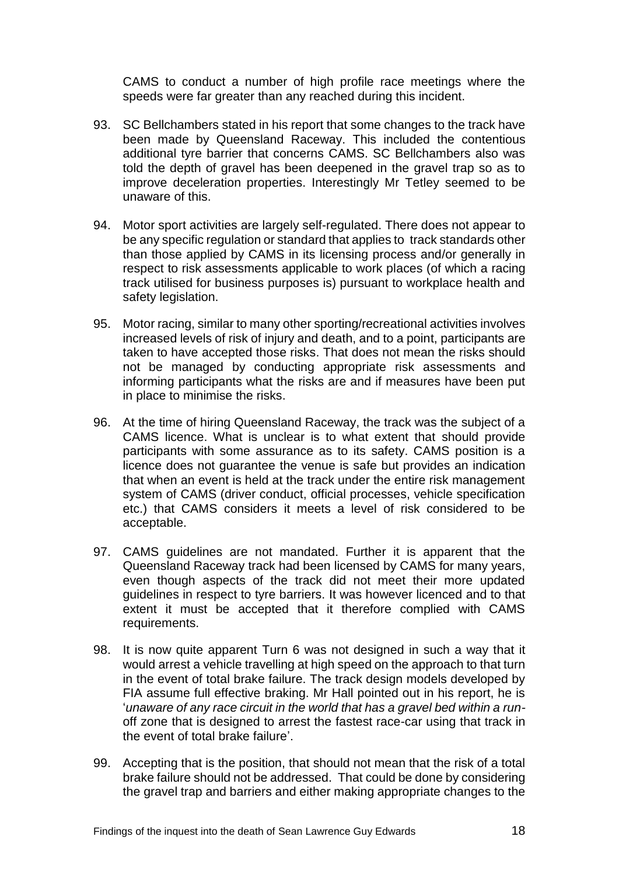CAMS to conduct a number of high profile race meetings where the speeds were far greater than any reached during this incident.

- 93. SC Bellchambers stated in his report that some changes to the track have been made by Queensland Raceway. This included the contentious additional tyre barrier that concerns CAMS. SC Bellchambers also was told the depth of gravel has been deepened in the gravel trap so as to improve deceleration properties. Interestingly Mr Tetley seemed to be unaware of this.
- 94. Motor sport activities are largely self-regulated. There does not appear to be any specific regulation or standard that applies to track standards other than those applied by CAMS in its licensing process and/or generally in respect to risk assessments applicable to work places (of which a racing track utilised for business purposes is) pursuant to workplace health and safety legislation.
- 95. Motor racing, similar to many other sporting/recreational activities involves increased levels of risk of injury and death, and to a point, participants are taken to have accepted those risks. That does not mean the risks should not be managed by conducting appropriate risk assessments and informing participants what the risks are and if measures have been put in place to minimise the risks.
- 96. At the time of hiring Queensland Raceway, the track was the subject of a CAMS licence. What is unclear is to what extent that should provide participants with some assurance as to its safety. CAMS position is a licence does not guarantee the venue is safe but provides an indication that when an event is held at the track under the entire risk management system of CAMS (driver conduct, official processes, vehicle specification etc.) that CAMS considers it meets a level of risk considered to be acceptable.
- 97. CAMS guidelines are not mandated. Further it is apparent that the Queensland Raceway track had been licensed by CAMS for many years, even though aspects of the track did not meet their more updated guidelines in respect to tyre barriers. It was however licenced and to that extent it must be accepted that it therefore complied with CAMS requirements.
- 98. It is now quite apparent Turn 6 was not designed in such a way that it would arrest a vehicle travelling at high speed on the approach to that turn in the event of total brake failure. The track design models developed by FIA assume full effective braking. Mr Hall pointed out in his report, he is '*unaware of any race circuit in the world that has a gravel bed within a run*off zone that is designed to arrest the fastest race-car using that track in the event of total brake failure'.
- 99. Accepting that is the position, that should not mean that the risk of a total brake failure should not be addressed. That could be done by considering the gravel trap and barriers and either making appropriate changes to the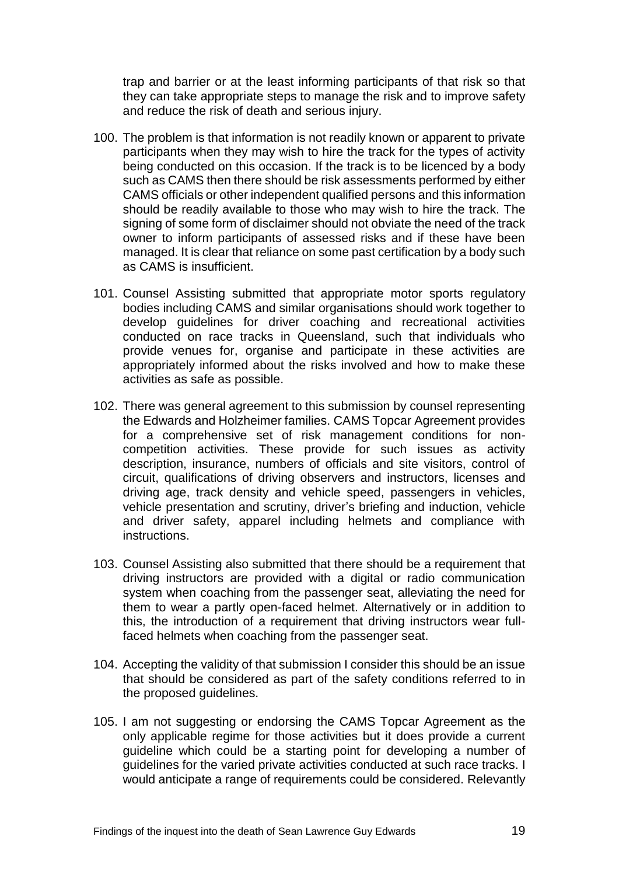trap and barrier or at the least informing participants of that risk so that they can take appropriate steps to manage the risk and to improve safety and reduce the risk of death and serious injury.

- 100. The problem is that information is not readily known or apparent to private participants when they may wish to hire the track for the types of activity being conducted on this occasion. If the track is to be licenced by a body such as CAMS then there should be risk assessments performed by either CAMS officials or other independent qualified persons and this information should be readily available to those who may wish to hire the track. The signing of some form of disclaimer should not obviate the need of the track owner to inform participants of assessed risks and if these have been managed. It is clear that reliance on some past certification by a body such as CAMS is insufficient.
- 101. Counsel Assisting submitted that appropriate motor sports regulatory bodies including CAMS and similar organisations should work together to develop guidelines for driver coaching and recreational activities conducted on race tracks in Queensland, such that individuals who provide venues for, organise and participate in these activities are appropriately informed about the risks involved and how to make these activities as safe as possible.
- 102. There was general agreement to this submission by counsel representing the Edwards and Holzheimer families. CAMS Topcar Agreement provides for a comprehensive set of risk management conditions for noncompetition activities. These provide for such issues as activity description, insurance, numbers of officials and site visitors, control of circuit, qualifications of driving observers and instructors, licenses and driving age, track density and vehicle speed, passengers in vehicles, vehicle presentation and scrutiny, driver's briefing and induction, vehicle and driver safety, apparel including helmets and compliance with instructions.
- 103. Counsel Assisting also submitted that there should be a requirement that driving instructors are provided with a digital or radio communication system when coaching from the passenger seat, alleviating the need for them to wear a partly open-faced helmet. Alternatively or in addition to this, the introduction of a requirement that driving instructors wear fullfaced helmets when coaching from the passenger seat.
- 104. Accepting the validity of that submission I consider this should be an issue that should be considered as part of the safety conditions referred to in the proposed guidelines.
- 105. I am not suggesting or endorsing the CAMS Topcar Agreement as the only applicable regime for those activities but it does provide a current guideline which could be a starting point for developing a number of guidelines for the varied private activities conducted at such race tracks. I would anticipate a range of requirements could be considered. Relevantly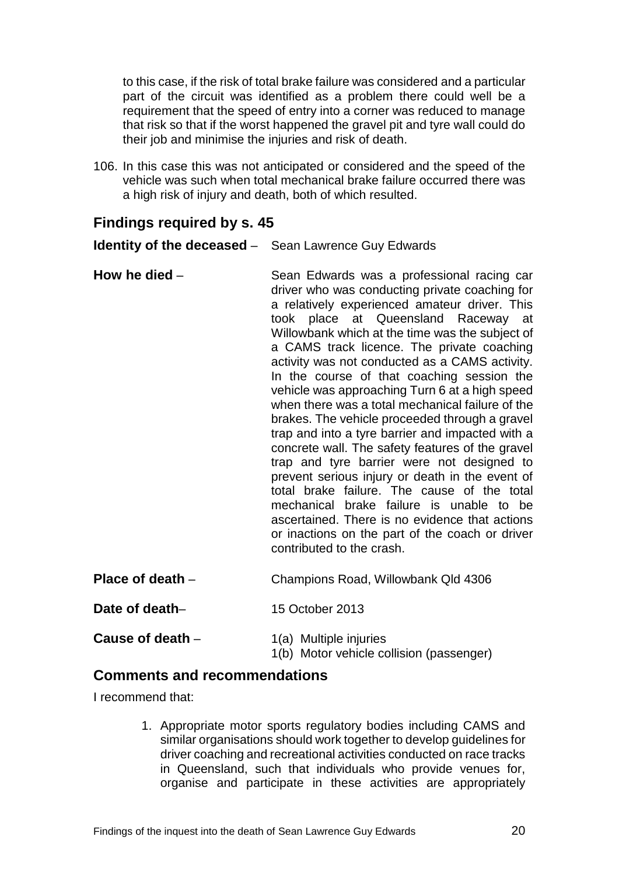to this case, if the risk of total brake failure was considered and a particular part of the circuit was identified as a problem there could well be a requirement that the speed of entry into a corner was reduced to manage that risk so that if the worst happened the gravel pit and tyre wall could do their job and minimise the injuries and risk of death.

106. In this case this was not anticipated or considered and the speed of the vehicle was such when total mechanical brake failure occurred there was a high risk of injury and death, both of which resulted.

### <span id="page-21-0"></span>**Findings required by s. 45**

<span id="page-21-1"></span>**Identity of the deceased** – Sean Lawrence Guy Edwards

<span id="page-21-2"></span>**How he died** – Sean Edwards was a professional racing car driver who was conducting private coaching for a relatively experienced amateur driver. This took place at Queensland Raceway at Willowbank which at the time was the subject of a CAMS track licence. The private coaching activity was not conducted as a CAMS activity. In the course of that coaching session the vehicle was approaching Turn 6 at a high speed when there was a total mechanical failure of the brakes. The vehicle proceeded through a gravel trap and into a tyre barrier and impacted with a concrete wall. The safety features of the gravel trap and tyre barrier were not designed to prevent serious injury or death in the event of total brake failure. The cause of the total mechanical brake failure is unable to be ascertained. There is no evidence that actions or inactions on the part of the coach or driver contributed to the crash. **Place of death** – Champions Road, Willowbank Qld 4306

<span id="page-21-4"></span><span id="page-21-3"></span>

| Date of death- | 15 October 2013 |
|----------------|-----------------|

<span id="page-21-5"></span>

| Cause of death - | 1(a) Multiple injuries                   |
|------------------|------------------------------------------|
|                  | 1(b) Motor vehicle collision (passenger) |

### <span id="page-21-6"></span>**Comments and recommendations**

I recommend that:

1. Appropriate motor sports regulatory bodies including CAMS and similar organisations should work together to develop guidelines for driver coaching and recreational activities conducted on race tracks in Queensland, such that individuals who provide venues for, organise and participate in these activities are appropriately